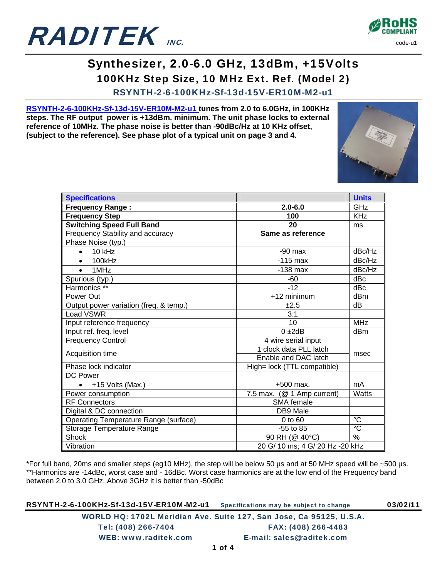



## Synthesizer, 2.0-6.0 GHz, 13dBm, +15Volts 100KHz Step Size, 10 MHz Ext. Ref. (Model 2)

RSYNTH-2-6-100KHz-Sf-13d-15V-ER10M-M2-u1

**RSYNTH-2-6-100KHz-Sf-13d-15V-ER10M-M2-u1 tunes from 2.0 to 6.0GHz, in 100KHz steps. The RF output power is +13dBm. minimum. The unit phase locks to external reference of 10MHz. The phase noise is better than -90dBc/Hz at 10 KHz offset, (subject to the reference). See phase plot of a typical unit on page 3 and 4.** 



| <b>Specifications</b>                        |                                 | <b>Units</b>   |
|----------------------------------------------|---------------------------------|----------------|
| <b>Frequency Range:</b>                      | $2.0 - 6.0$                     | GHz            |
| <b>Frequency Step</b>                        | 100                             | <b>KHz</b>     |
| <b>Switching Speed Full Band</b>             | 20                              | ms             |
| Frequency Stability and accuracy             | Same as reference               |                |
| Phase Noise (typ.)                           |                                 |                |
| $10$ kHz<br>$\bullet$                        | $-90$ max                       | dBc/Hz         |
| 100kHz<br>$\bullet$                          | $-115$ max                      | dBc/Hz         |
| 1MH <sub>z</sub><br>$\bullet$                | $-138$ max                      | dBc/Hz         |
| Spurious (typ.)                              | -60                             | dBc            |
| Harmonics **                                 | $-12$                           | dBc            |
| Power Out                                    | +12 minimum                     | dBm            |
| Output power variation (freq. & temp.)       | ±2.5                            | dB             |
| Load VSWR                                    | 3:1                             |                |
| Input reference frequency                    | 10                              | <b>MHz</b>     |
| Input ref. freq. level                       | $0 + 2dB$                       | dBm            |
| <b>Frequency Control</b>                     | 4 wire serial input             |                |
| Acquisition time                             | 1 clock data PLL latch          | msec           |
|                                              | Enable and DAC latch            |                |
| Phase lock indicator                         | High= lock (TTL compatible)     |                |
| <b>DC Power</b>                              |                                 |                |
| +15 Volts (Max.)<br>$\bullet$                | +500 max.                       | mA             |
| Power consumption                            | 7.5 max. (@ 1 Amp current)      | Watts          |
| <b>RF Connectors</b>                         | SMA female                      |                |
| Digital & DC connection                      | DB9 Male                        |                |
| <b>Operating Temperature Range (surface)</b> | 0 to 60                         | $^{\circ}C$    |
| Storage Temperature Range                    | $-55$ to 85                     | $\overline{c}$ |
| <b>Shock</b>                                 | 90 RH (@ 40°C)                  | $\frac{0}{0}$  |
| Vibration                                    | 20 G/ 10 ms; 4 G/ 20 Hz -20 kHz |                |

\*For full band, 20ms and smaller steps (eg10 MHz), the step will be below 50 µs and at 50 MHz speed will be ~500 µs. \*\*Harmonics are -14dBc, worst case and - 16dBc. Worst case harmonics are at the low end of the Frequency band between 2.0 to 3.0 GHz. Above 3GHz it is better than -50dBc

RSYNTH-2-6-100KHz-Sf-13d-15V-ER10M-M2-u1 Specifications may be subject to change 03/02/11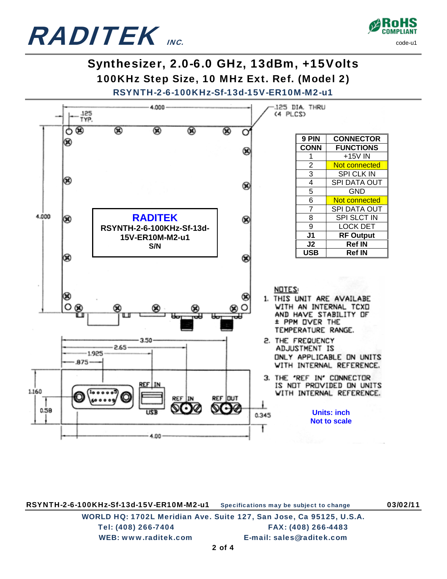



## Synthesizer, 2.0-6.0 GHz, 13dBm, +15Volts 100KHz Step Size, 10 MHz Ext. Ref. (Model 2)



RSYNTH-2-6-100KHz-Sf-13d-15V-ER10M-M2-u1 Specifications may be subject to change 03/02/11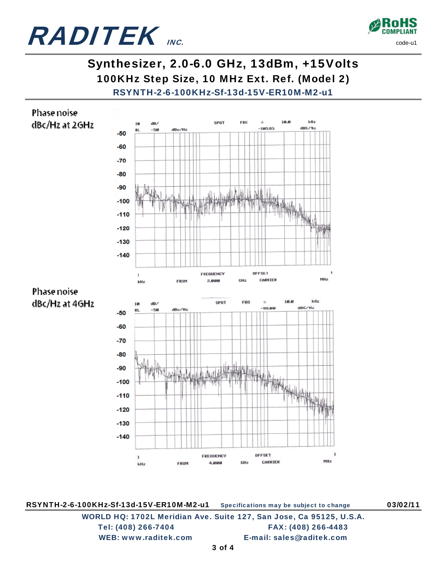



## Synthesizer, 2.0-6.0 GHz, 13dBm, +15Volts 100KHz Step Size, 10 MHz Ext. Ref. (Model 2) RSYNTH-2-6-100KHz-Sf-13d-15V-ER10M-M2-u1



RSYNTH-2-6-100KHz-Sf-13d-15V-ER10M-M2-u1 Specifications may be subject to change 03/02/11